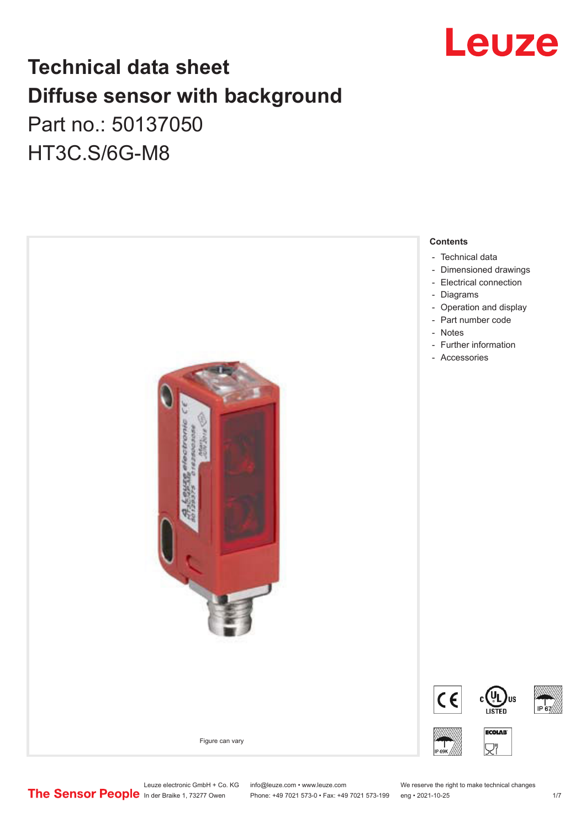

## **Technical data sheet Diffuse sensor with background**  Part no.: 50137050

HT3C.S/6G-M8



Leuze electronic GmbH + Co. KG info@leuze.com • www.leuze.com We reserve the right to make technical changes<br>
The Sensor People in der Braike 1, 73277 Owen Phone: +49 7021 573-0 • Fax: +49 7021 573-199 eng • 2021-10-25

Phone: +49 7021 573-0 • Fax: +49 7021 573-199 eng • 2021-10-25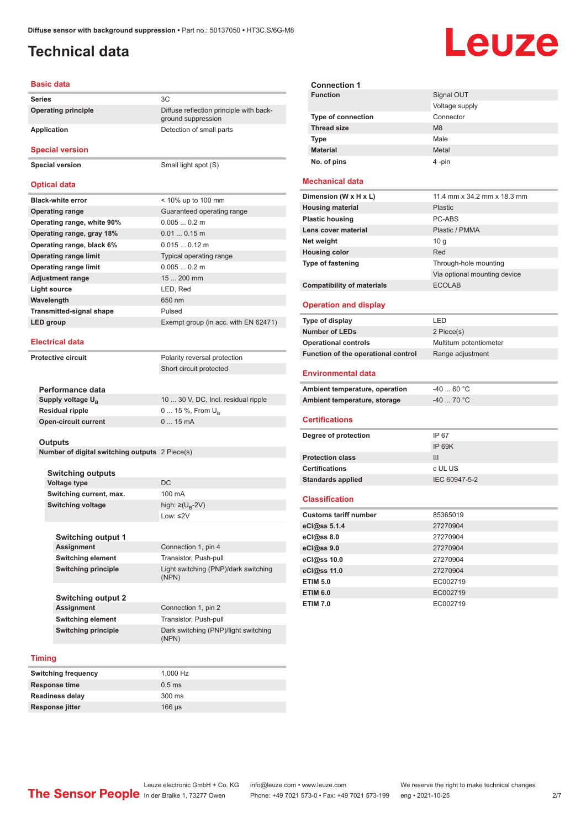Diffuse reflection principle with back-

ground suppression

### <span id="page-1-0"></span>**Technical data**

# Leuze

#### **Basic data**

| <b>Series</b>              |     |
|----------------------------|-----|
| <b>Operating principle</b> | Dif |
|                            | gro |

**Application** Detection of small parts

**Special version**

**Special version** Small light spot (S)

#### **Optical data**

| <b>Black-white error</b>        | $<$ 10% up to 100 mm                 |
|---------------------------------|--------------------------------------|
| <b>Operating range</b>          | Guaranteed operating range           |
| Operating range, white 90%      | $0.0050.2$ m                         |
| Operating range, gray 18%       | $0.010.15$ m                         |
| Operating range, black 6%       | $0.015$ $0.12$ m                     |
| <b>Operating range limit</b>    | Typical operating range              |
| <b>Operating range limit</b>    | $0.0050.2$ m                         |
| <b>Adjustment range</b>         | $15200$ mm                           |
| Light source                    | LED, Red                             |
| Wavelength                      | 650 nm                               |
| <b>Transmitted-signal shape</b> | Pulsed                               |
| LED group                       | Exempt group (in acc. with EN 62471) |
|                                 |                                      |

#### **Electrical data**

**Protective circuit** Polarity reversal protection

**Performance data** Supply voltage U<sub>B</sub>

**Residual ripple Open-circuit current**  Short circuit protected

| 10  30 V, DC, Incl. residual ripple |
|-------------------------------------|
| 0  15 %, From $U_{\rm B}$           |
| $015$ mA                            |
|                                     |

Connection 1, pin 2

#### **Outputs**

**Number of digital switching outputs** 2 Piece(s)

| Switching outputs        |                                   |
|--------------------------|-----------------------------------|
| Voltage type             | DC.                               |
| Switching current, max.  | 100 mA                            |
| <b>Switching voltage</b> | high: $\geq$ (U <sub>p</sub> -2V) |
|                          | Low: ≤2 $V$                       |

**Switching output 1 Connection 1, pin 4 Switching element** Transistor, Push-pull **Switching principle** Light switching (PNP)/dark switching (NPN)

**Switching output 2 Switching element** Transistor, Push-pull **Switching principle** Dark switching (PNP)/light switching

#### **Timing**

| <b>Switching frequency</b> | 1.000 Hz    |
|----------------------------|-------------|
| <b>Response time</b>       | $0.5$ ms    |
| <b>Readiness delay</b>     | 300 ms      |
| Response jitter            | $166 \mu s$ |

(NPN)

| <b>Connection 1</b>       |                |
|---------------------------|----------------|
| <b>Function</b>           | Signal OUT     |
|                           | Voltage supply |
| <b>Type of connection</b> | Connector      |
| <b>Thread size</b>        | M <sub>8</sub> |
| <b>Type</b>               | Male           |
| <b>Material</b>           | Metal          |
| No. of pins               | 4-pin          |

#### **Mechanical data**

| Dimension (W x H x L)             | 11.4 mm x 34.2 mm x 18.3 mm  |
|-----------------------------------|------------------------------|
| <b>Housing material</b>           | <b>Plastic</b>               |
| <b>Plastic housing</b>            | PC-ABS                       |
| Lens cover material               | Plastic / PMMA               |
| Net weight                        | 10q                          |
| <b>Housing color</b>              | Red                          |
| <b>Type of fastening</b>          | Through-hole mounting        |
|                                   | Via optional mounting device |
| <b>Compatibility of materials</b> | <b>ECOLAB</b>                |

#### **Operation and display**

| Type of display                     | I FD                    |
|-------------------------------------|-------------------------|
| <b>Number of LEDs</b>               | 2 Piece(s)              |
| <b>Operational controls</b>         | Multiturn potentiometer |
| Function of the operational control | Range adjustment        |

#### **Environmental data**

| Ambient temperature, operation | -40  60 °C |
|--------------------------------|------------|
| Ambient temperature, storage   | -40  70 °C |

#### **Certifications**

| Degree of protection     | IP 67         |
|--------------------------|---------------|
|                          | IP 69K        |
| <b>Protection class</b>  | Ш             |
| <b>Certifications</b>    | c UL US       |
| <b>Standards applied</b> | IEC 60947-5-2 |
|                          |               |

#### **Classification**

| <b>Customs tariff number</b> | 85365019 |
|------------------------------|----------|
| eCl@ss 5.1.4                 | 27270904 |
| eCl@ss 8.0                   | 27270904 |
| eCl@ss 9.0                   | 27270904 |
| eCl@ss 10.0                  | 27270904 |
| eCl@ss 11.0                  | 27270904 |
| <b>ETIM 5.0</b>              | EC002719 |
| <b>ETIM 6.0</b>              | EC002719 |
| <b>ETIM 7.0</b>              | EC002719 |

Phone: +49 7021 573-0 • Fax: +49 7021 573-199 eng • 2021-10-25 2/7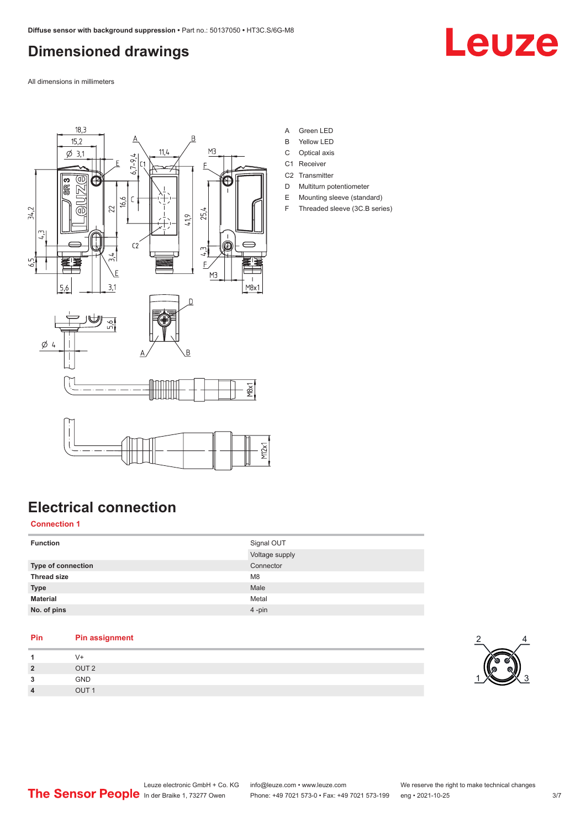### <span id="page-2-0"></span>**Dimensioned drawings**

Leuze

All dimensions in millimeters



- A Green LED
- B Yellow LED
- C Optical axis
- C1 Receiver
- C<sub>2</sub> Transmitter D Multiturn potentiometer
- E Mounting sleeve (standard)
- F Threaded sleeve (3C.B series)

### **Electrical connection**

#### **Connection 1**

| <b>Function</b>    | Signal OUT<br>Voltage supply |
|--------------------|------------------------------|
| Type of connection | Connector                    |
| <b>Thread size</b> | M <sub>8</sub>               |
| <b>Type</b>        | Male                         |
| <b>Material</b>    | Metal                        |
| No. of pins        | $4 - pin$                    |

#### **Pin Pin assignment**

| $\overline{A}$ | V+               |
|----------------|------------------|
| $\overline{2}$ | OUT <sub>2</sub> |
| 3              | GND              |
| $\overline{4}$ | OUT <sub>1</sub> |

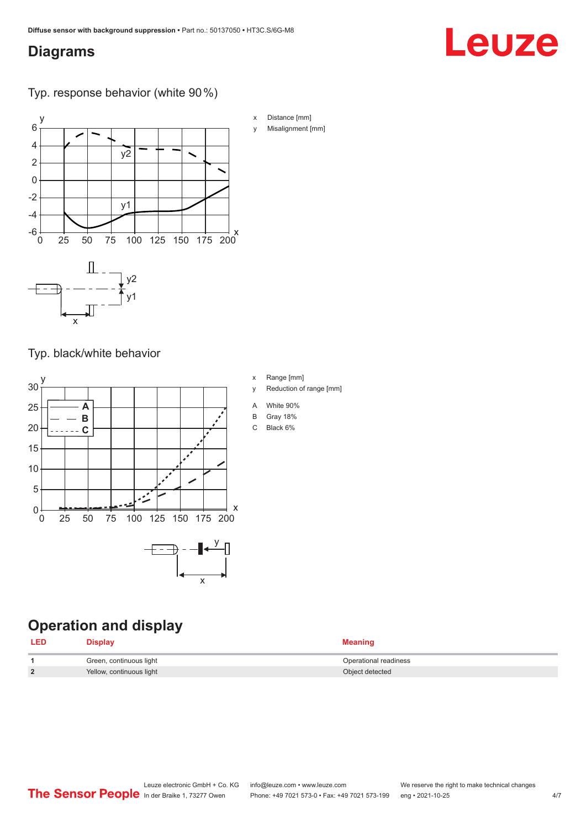### <span id="page-3-0"></span>**Diagrams**

### Typ. response behavior (white 90 %)



Typ. black/white behavior



### **Operation and display**

| <b>LED</b> | Display                  | <b>Meaning</b>        |
|------------|--------------------------|-----------------------|
|            | Green, continuous light  | Operational readiness |
|            | Yellow, continuous light | Object detected       |

x Distance [mm] y Misalignment [mm] Leuze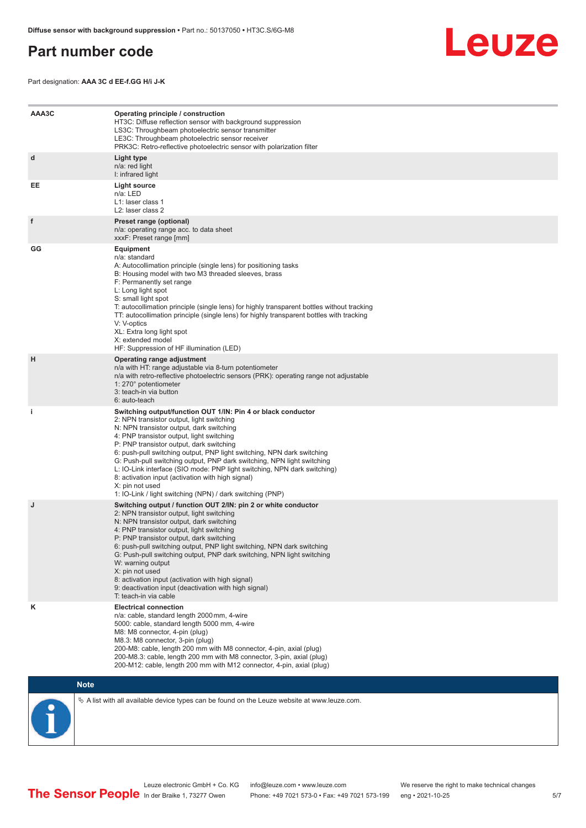### <span id="page-4-0"></span>**Part number code**



Part designation: **AAA 3C d EE-f.GG H/i J-K**

| AAA3C | Operating principle / construction<br>HT3C: Diffuse reflection sensor with background suppression<br>LS3C: Throughbeam photoelectric sensor transmitter<br>LE3C: Throughbeam photoelectric sensor receiver<br>PRK3C: Retro-reflective photoelectric sensor with polarization filter                                                                                                                                                                                                                                                                                                                                 |
|-------|---------------------------------------------------------------------------------------------------------------------------------------------------------------------------------------------------------------------------------------------------------------------------------------------------------------------------------------------------------------------------------------------------------------------------------------------------------------------------------------------------------------------------------------------------------------------------------------------------------------------|
| d     | Light type<br>n/a: red light<br>I: infrared light                                                                                                                                                                                                                                                                                                                                                                                                                                                                                                                                                                   |
| EE    | Light source<br>n/a: LED<br>L1: laser class 1<br>L <sub>2</sub> : laser class 2                                                                                                                                                                                                                                                                                                                                                                                                                                                                                                                                     |
| f     | Preset range (optional)<br>n/a: operating range acc. to data sheet<br>xxxF: Preset range [mm]                                                                                                                                                                                                                                                                                                                                                                                                                                                                                                                       |
| GG    | <b>Equipment</b><br>n/a: standard<br>A: Autocollimation principle (single lens) for positioning tasks<br>B: Housing model with two M3 threaded sleeves, brass<br>F: Permanently set range<br>L: Long light spot<br>S: small light spot<br>T: autocollimation principle (single lens) for highly transparent bottles without tracking<br>TT: autocollimation principle (single lens) for highly transparent bottles with tracking<br>V: V-optics<br>XL: Extra long light spot<br>X: extended model<br>HF: Suppression of HF illumination (LED)                                                                       |
| н     | Operating range adjustment<br>n/a with HT: range adjustable via 8-turn potentiometer<br>n/a with retro-reflective photoelectric sensors (PRK): operating range not adjustable<br>1: 270° potentiometer<br>3: teach-in via button<br>6: auto-teach                                                                                                                                                                                                                                                                                                                                                                   |
| i.    | Switching output/function OUT 1/IN: Pin 4 or black conductor<br>2: NPN transistor output, light switching<br>N: NPN transistor output, dark switching<br>4: PNP transistor output, light switching<br>P: PNP transistor output, dark switching<br>6: push-pull switching output, PNP light switching, NPN dark switching<br>G: Push-pull switching output, PNP dark switching, NPN light switching<br>L: IO-Link interface (SIO mode: PNP light switching, NPN dark switching)<br>8: activation input (activation with high signal)<br>X: pin not used<br>1: IO-Link / light switching (NPN) / dark switching (PNP) |
| J     | Switching output / function OUT 2/IN: pin 2 or white conductor<br>2: NPN transistor output, light switching<br>N: NPN transistor output, dark switching<br>4: PNP transistor output, light switching<br>P: PNP transistor output, dark switching<br>6: push-pull switching output, PNP light switching, NPN dark switching<br>G: Push-pull switching output, PNP dark switching, NPN light switching<br>W: warning output<br>X: pin not used<br>8: activation input (activation with high signal)<br>9: deactivation input (deactivation with high signal)<br>T: teach-in via cable                                 |
| κ     | <b>Electrical connection</b><br>n/a: cable, standard length 2000 mm, 4-wire<br>5000: cable, standard length 5000 mm, 4-wire<br>M8: M8 connector, 4-pin (plug)<br>M8.3: M8 connector, 3-pin (plug)<br>200-M8: cable, length 200 mm with M8 connector, 4-pin, axial (plug)<br>200-M8.3: cable, length 200 mm with M8 connector, 3-pin, axial (plug)<br>200-M12: cable, length 200 mm with M12 connector, 4-pin, axial (plug)                                                                                                                                                                                          |

### **Note**

 $\%$  A list with all available device types can be found on the Leuze website at www.leuze.com.

5/7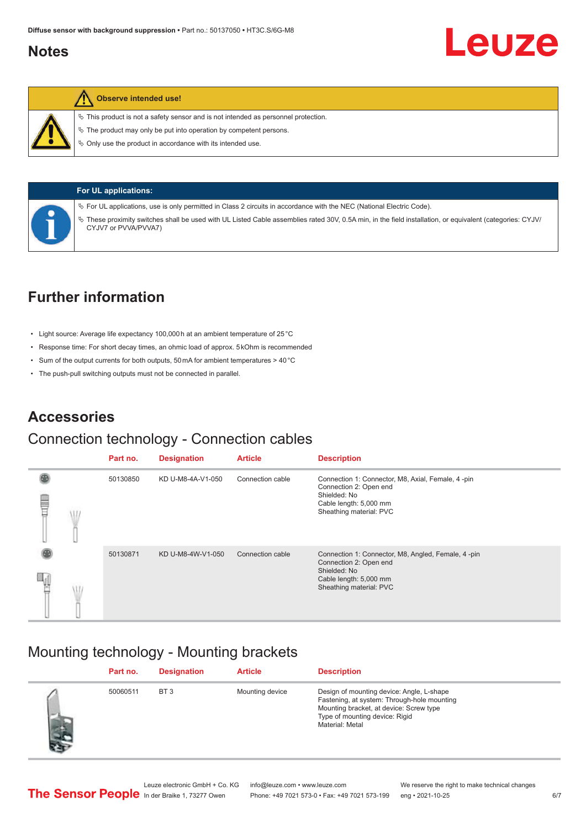### <span id="page-5-0"></span>**Notes**



#### **Observe intended use!**

 $\%$  This product is not a safety sensor and is not intended as personnel protection.

 $\ddot{\phi}$  The product may only be put into operation by competent persons.

 $\%$  Only use the product in accordance with its intended use.



#### **For UL applications:**

ª For UL applications, use is only permitted in Class 2 circuits in accordance with the NEC (National Electric Code).

ª These proximity switches shall be used with UL Listed Cable assemblies rated 30V, 0.5A min, in the field installation, or equivalent (categories: CYJV/ CYJV7 or PVVA/PVVA7)

### **Further information**

- Light source: Average life expectancy 100,000 h at an ambient temperature of 25 °C
- Response time: For short decay times, an ohmic load of approx. 5 kOhm is recommended
- Sum of the output currents for both outputs, 50 mA for ambient temperatures > 40 °C
- The push-pull switching outputs must not be connected in parallel.

### **Accessories**

### Connection technology - Connection cables

|   |  | Part no. | <b>Designation</b> | <b>Article</b>   | <b>Description</b>                                                                                                                                |
|---|--|----------|--------------------|------------------|---------------------------------------------------------------------------------------------------------------------------------------------------|
| Ē |  | 50130850 | KD U-M8-4A-V1-050  | Connection cable | Connection 1: Connector, M8, Axial, Female, 4 -pin<br>Connection 2: Open end<br>Shielded: No<br>Cable length: 5,000 mm<br>Sheathing material: PVC |
|   |  | 50130871 | KD U-M8-4W-V1-050  | Connection cable | Connection 1: Connector, M8, Angled, Female, 4-pin<br>Connection 2: Open end<br>Shielded: No<br>Cable length: 5,000 mm<br>Sheathing material: PVC |

### Mounting technology - Mounting brackets

|           | Part no. | <b>Designation</b> | <b>Article</b>  | <b>Description</b>                                                                                                                                                                       |
|-----------|----------|--------------------|-----------------|------------------------------------------------------------------------------------------------------------------------------------------------------------------------------------------|
| <b>AP</b> | 50060511 | BT <sub>3</sub>    | Mounting device | Design of mounting device: Angle, L-shape<br>Fastening, at system: Through-hole mounting<br>Mounting bracket, at device: Screw type<br>Type of mounting device: Rigid<br>Material: Metal |

Leuze